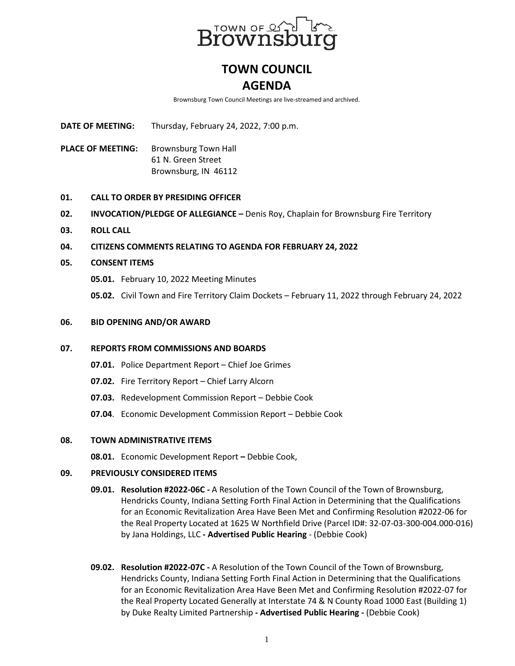

# **TOWN COUNCIL AGENDA**

Brownsburg Town Council Meetings are live-streamed and archived.

**DATE OF MEETING:** Thursday, February 24, 2022, 7:00 p.m.

PLACE OF MEETING: Brownsburg Town Hall 61 N. Green Street Brownsburg, IN 46112

# **01. CALL TO ORDER BY PRESIDING OFFICER**

- **02. INVOCATION/PLEDGE OF ALLEGIANCE –** Denis Roy, Chaplain for Brownsburg Fire Territory
- **03. ROLL CALL**
- **04. CITIZENS COMMENTS RELATING TO AGENDA FOR FEBRUARY 24, 2022**

# **05. CONSENT ITEMS**

- **05.01.** February 10, 2022 Meeting Minutes
- **05.02.** Civil Town and Fire Territory Claim Dockets February 11, 2022 through February 24, 2022

# **06. BID OPENING AND/OR AWARD**

### **07. REPORTS FROM COMMISSIONS AND BOARDS**

- **07.01.** Police Department Report Chief Joe Grimes
- **07.02.** Fire Territory Report Chief Larry Alcorn
- **07.03.** Redevelopment Commission Report Debbie Cook
- **07.04**. Economic Development Commission Report Debbie Cook

### **08. TOWN ADMINISTRATIVE ITEMS**

**08.01.** Economic Development Report **–** Debbie Cook,

### **09. PREVIOUSLY CONSIDERED ITEMS**

- **09.01. Resolution #2022-06C -** A Resolution of the Town Council of the Town of Brownsburg, Hendricks County, Indiana Setting Forth Final Action in Determining that the Qualifications for an Economic Revitalization Area Have Been Met and Confirming Resolution #2022-06 for the Real Property Located at 1625 W Northfield Drive (Parcel ID#: 32-07-03-300-004.000-016) by Jana Holdings, LLC **- Advertised Public Hearing** - (Debbie Cook)
- **09.02. Resolution #2022-07C -** A Resolution of the Town Council of the Town of Brownsburg, Hendricks County, Indiana Setting Forth Final Action in Determining that the Qualifications for an Economic Revitalization Area Have Been Met and Confirming Resolution #2022-07 for the Real Property Located Generally at Interstate 74 & N County Road 1000 East (Building 1) by Duke Realty Limited Partnership **- Advertised Public Hearing -** (Debbie Cook)